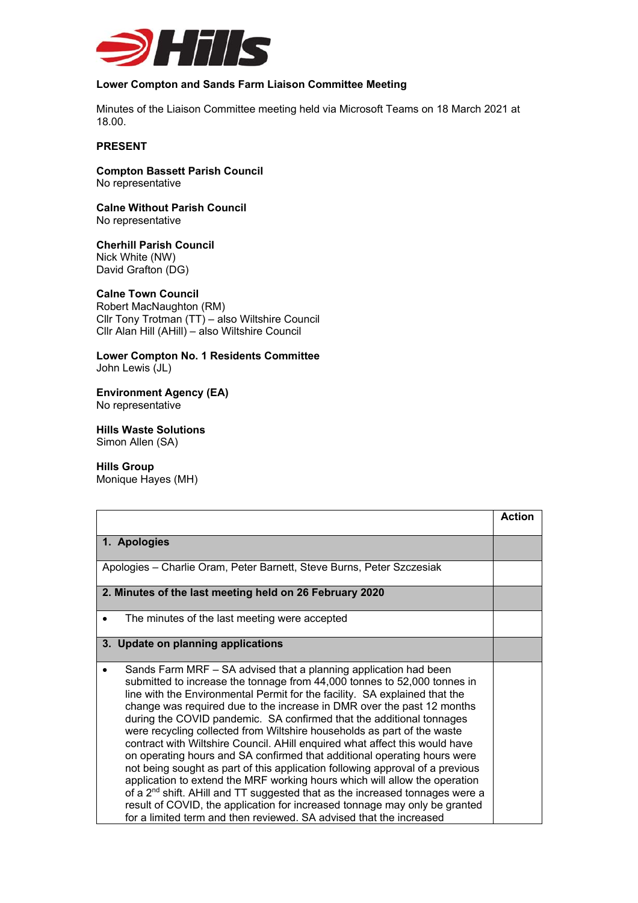

## **Lower Compton and Sands Farm Liaison Committee Meeting**

Minutes of the Liaison Committee meeting held via Microsoft Teams on 18 March 2021 at 18.00.

## **PRESENT**

**Compton Bassett Parish Council**  No representative

**Calne Without Parish Council**  No representative

**Cherhill Parish Council**  Nick White (NW) David Grafton (DG)

## **Calne Town Council**

Robert MacNaughton (RM) Cllr Tony Trotman (TT) – also Wiltshire Council Cllr Alan Hill (AHill) – also Wiltshire Council

**Lower Compton No. 1 Residents Committee**  John Lewis (JL)

**Environment Agency (EA)**  No representative

**Hills Waste Solutions**  Simon Allen (SA)

**Hills Group** 

Monique Hayes (MH)

|                                                                                                                                                                                                                                                                                                                                                                                                                                                                                                                                                                                                                                                                                                                                                                                                                                                                                                                                                                                                                                    | <b>Action</b> |
|------------------------------------------------------------------------------------------------------------------------------------------------------------------------------------------------------------------------------------------------------------------------------------------------------------------------------------------------------------------------------------------------------------------------------------------------------------------------------------------------------------------------------------------------------------------------------------------------------------------------------------------------------------------------------------------------------------------------------------------------------------------------------------------------------------------------------------------------------------------------------------------------------------------------------------------------------------------------------------------------------------------------------------|---------------|
| 1. Apologies                                                                                                                                                                                                                                                                                                                                                                                                                                                                                                                                                                                                                                                                                                                                                                                                                                                                                                                                                                                                                       |               |
| Apologies - Charlie Oram, Peter Barnett, Steve Burns, Peter Szczesiak                                                                                                                                                                                                                                                                                                                                                                                                                                                                                                                                                                                                                                                                                                                                                                                                                                                                                                                                                              |               |
| 2. Minutes of the last meeting held on 26 February 2020                                                                                                                                                                                                                                                                                                                                                                                                                                                                                                                                                                                                                                                                                                                                                                                                                                                                                                                                                                            |               |
| The minutes of the last meeting were accepted<br>$\bullet$                                                                                                                                                                                                                                                                                                                                                                                                                                                                                                                                                                                                                                                                                                                                                                                                                                                                                                                                                                         |               |
| 3. Update on planning applications                                                                                                                                                                                                                                                                                                                                                                                                                                                                                                                                                                                                                                                                                                                                                                                                                                                                                                                                                                                                 |               |
| Sands Farm MRF – SA advised that a planning application had been<br>submitted to increase the tonnage from 44,000 tonnes to 52,000 tonnes in<br>line with the Environmental Permit for the facility. SA explained that the<br>change was required due to the increase in DMR over the past 12 months<br>during the COVID pandemic. SA confirmed that the additional tonnages<br>were recycling collected from Wiltshire households as part of the waste<br>contract with Wiltshire Council. AHill enquired what affect this would have<br>on operating hours and SA confirmed that additional operating hours were<br>not being sought as part of this application following approval of a previous<br>application to extend the MRF working hours which will allow the operation<br>of a 2 <sup>nd</sup> shift. AHill and TT suggested that as the increased tonnages were a<br>result of COVID, the application for increased tonnage may only be granted<br>for a limited term and then reviewed. SA advised that the increased |               |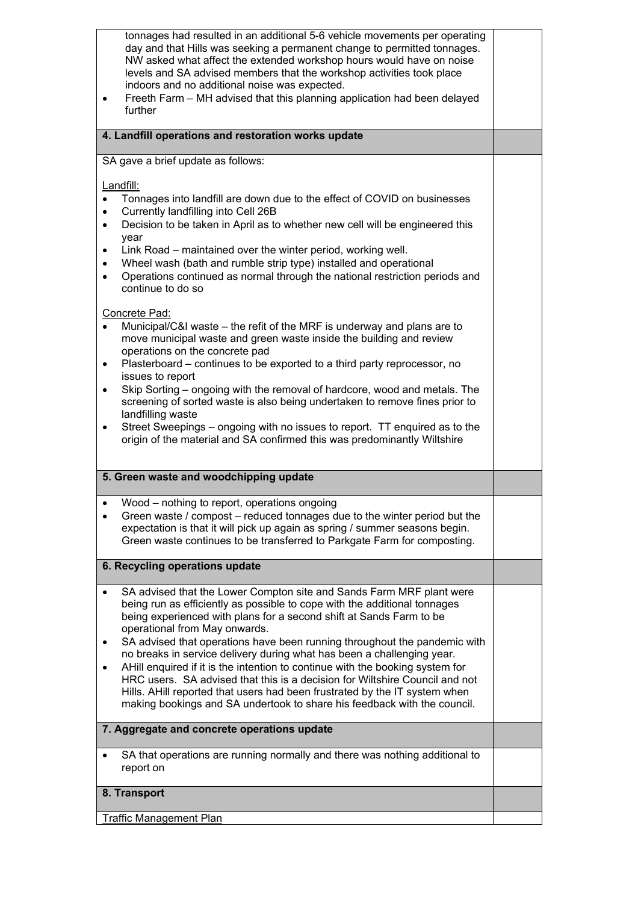| tonnages had resulted in an additional 5-6 vehicle movements per operating<br>day and that Hills was seeking a permanent change to permitted tonnages.<br>NW asked what affect the extended workshop hours would have on noise<br>levels and SA advised members that the workshop activities took place<br>indoors and no additional noise was expected.<br>Freeth Farm - MH advised that this planning application had been delayed<br>٠<br>further                                                                                                                                                                                                                                                                                       |  |
|--------------------------------------------------------------------------------------------------------------------------------------------------------------------------------------------------------------------------------------------------------------------------------------------------------------------------------------------------------------------------------------------------------------------------------------------------------------------------------------------------------------------------------------------------------------------------------------------------------------------------------------------------------------------------------------------------------------------------------------------|--|
| 4. Landfill operations and restoration works update                                                                                                                                                                                                                                                                                                                                                                                                                                                                                                                                                                                                                                                                                        |  |
| SA gave a brief update as follows:                                                                                                                                                                                                                                                                                                                                                                                                                                                                                                                                                                                                                                                                                                         |  |
| Landfill:<br>Tonnages into landfill are down due to the effect of COVID on businesses<br>٠<br>Currently landfilling into Cell 26B<br>$\bullet$<br>Decision to be taken in April as to whether new cell will be engineered this<br>$\bullet$<br>year<br>Link Road – maintained over the winter period, working well.<br>٠<br>Wheel wash (bath and rumble strip type) installed and operational<br>$\bullet$<br>Operations continued as normal through the national restriction periods and<br>continue to do so<br>Concrete Pad:                                                                                                                                                                                                            |  |
| Municipal/C&I waste – the refit of the MRF is underway and plans are to<br>$\bullet$<br>move municipal waste and green waste inside the building and review<br>operations on the concrete pad<br>Plasterboard – continues to be exported to a third party reprocessor, no<br>٠<br>issues to report<br>Skip Sorting – ongoing with the removal of hardcore, wood and metals. The<br>$\bullet$<br>screening of sorted waste is also being undertaken to remove fines prior to<br>landfilling waste<br>Street Sweepings – ongoing with no issues to report. TT enquired as to the<br>٠<br>origin of the material and SA confirmed this was predominantly Wiltshire                                                                            |  |
| 5. Green waste and woodchipping update                                                                                                                                                                                                                                                                                                                                                                                                                                                                                                                                                                                                                                                                                                     |  |
| Wood - nothing to report, operations ongoing<br>$\bullet$<br>Green waste / compost – reduced tonnages due to the winter period but the<br>expectation is that it will pick up again as spring / summer seasons begin.<br>Green waste continues to be transferred to Parkgate Farm for composting.                                                                                                                                                                                                                                                                                                                                                                                                                                          |  |
| 6. Recycling operations update                                                                                                                                                                                                                                                                                                                                                                                                                                                                                                                                                                                                                                                                                                             |  |
| SA advised that the Lower Compton site and Sands Farm MRF plant were<br>being run as efficiently as possible to cope with the additional tonnages<br>being experienced with plans for a second shift at Sands Farm to be<br>operational from May onwards.<br>SA advised that operations have been running throughout the pandemic with<br>no breaks in service delivery during what has been a challenging year.<br>AHill enquired if it is the intention to continue with the booking system for<br>HRC users. SA advised that this is a decision for Wiltshire Council and not<br>Hills. AHill reported that users had been frustrated by the IT system when<br>making bookings and SA undertook to share his feedback with the council. |  |
| 7. Aggregate and concrete operations update                                                                                                                                                                                                                                                                                                                                                                                                                                                                                                                                                                                                                                                                                                |  |
| SA that operations are running normally and there was nothing additional to<br>report on                                                                                                                                                                                                                                                                                                                                                                                                                                                                                                                                                                                                                                                   |  |
| 8. Transport                                                                                                                                                                                                                                                                                                                                                                                                                                                                                                                                                                                                                                                                                                                               |  |
| <b>Traffic Management Plan</b>                                                                                                                                                                                                                                                                                                                                                                                                                                                                                                                                                                                                                                                                                                             |  |